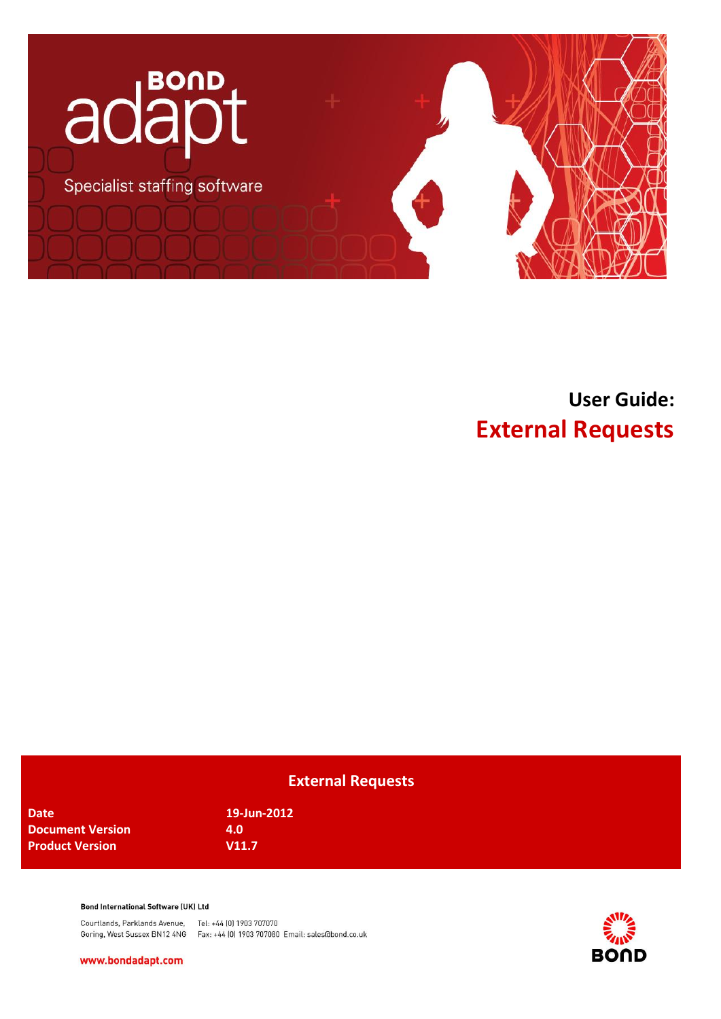

# **User Guide: External Requests**

## **External Requests**

**Date 19-Jun-2012 Document Version 4.0 Product Version V11.7** 

#### **Bond International Software (UK) Ltd**

Courtlands, Parklands Avenue, Tel: +44 (0) 1903 707070 Goring, West Sussex BN12 4NG Fax: +44 (0) 1903 707080 Email: sales@bond.co.uk

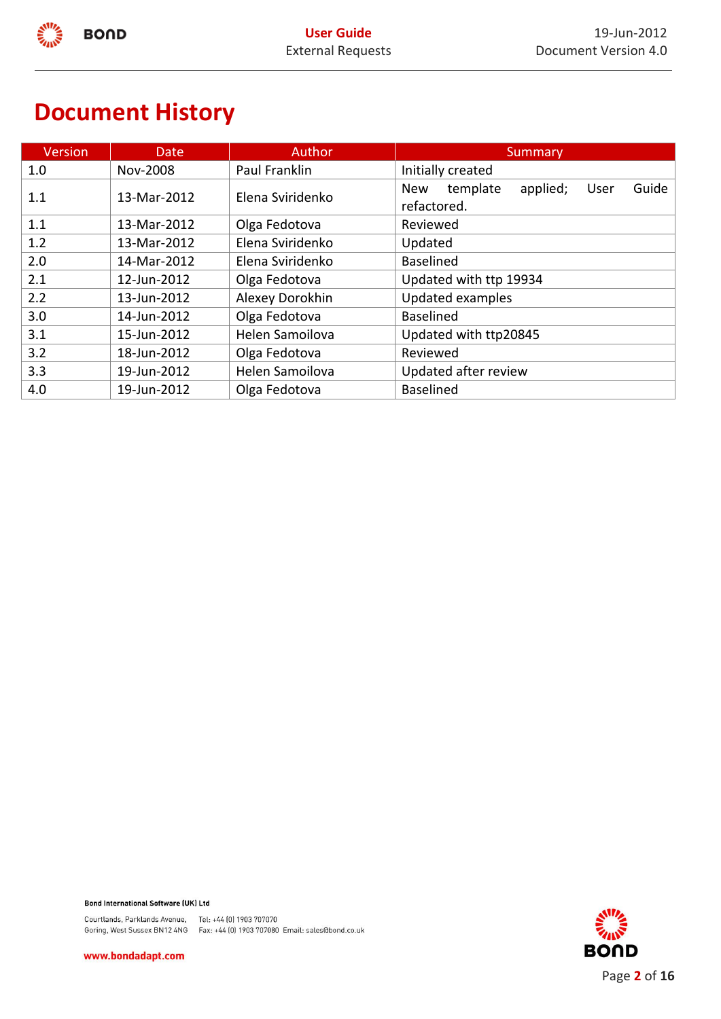# **Document History**

| <b>Version</b> | Date        | <b>Author</b>    | Summary                                                            |  |
|----------------|-------------|------------------|--------------------------------------------------------------------|--|
| 1.0            | Nov-2008    | Paul Franklin    | Initially created                                                  |  |
| 1.1            | 13-Mar-2012 | Elena Sviridenko | Guide<br>template<br>applied;<br><b>New</b><br>User<br>refactored. |  |
| 1.1            | 13-Mar-2012 | Olga Fedotova    | Reviewed                                                           |  |
| 1.2            | 13-Mar-2012 | Elena Sviridenko | Updated                                                            |  |
| 2.0            | 14-Mar-2012 | Elena Sviridenko | <b>Baselined</b>                                                   |  |
| 2.1            | 12-Jun-2012 | Olga Fedotova    | Updated with ttp 19934                                             |  |
| 2.2            | 13-Jun-2012 | Alexey Dorokhin  | Updated examples                                                   |  |
| 3.0            | 14-Jun-2012 | Olga Fedotova    | <b>Baselined</b>                                                   |  |
| 3.1            | 15-Jun-2012 | Helen Samoilova  | Updated with ttp20845                                              |  |
| 3.2            | 18-Jun-2012 | Olga Fedotova    | Reviewed                                                           |  |
| 3.3            | 19-Jun-2012 | Helen Samoilova  | Updated after review                                               |  |
| 4.0            | 19-Jun-2012 | Olga Fedotova    | <b>Baselined</b>                                                   |  |

Bond International Software (UK) Ltd

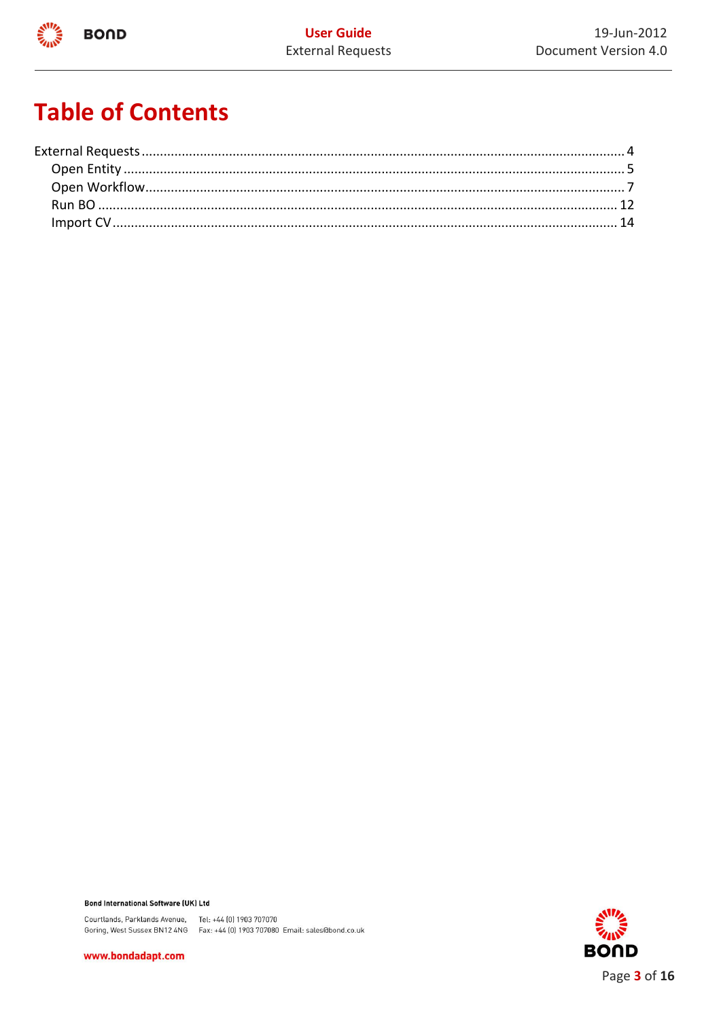

# **Table of Contents**

Bond International Software (UK) Ltd

Courtlands, Parklands Avenue, Tel: +44 (0) 1903 707070<br>Goring, West Sussex BN12 4NG Fax: +44 (0) 1903 707080 Email: sales@bond.co.uk

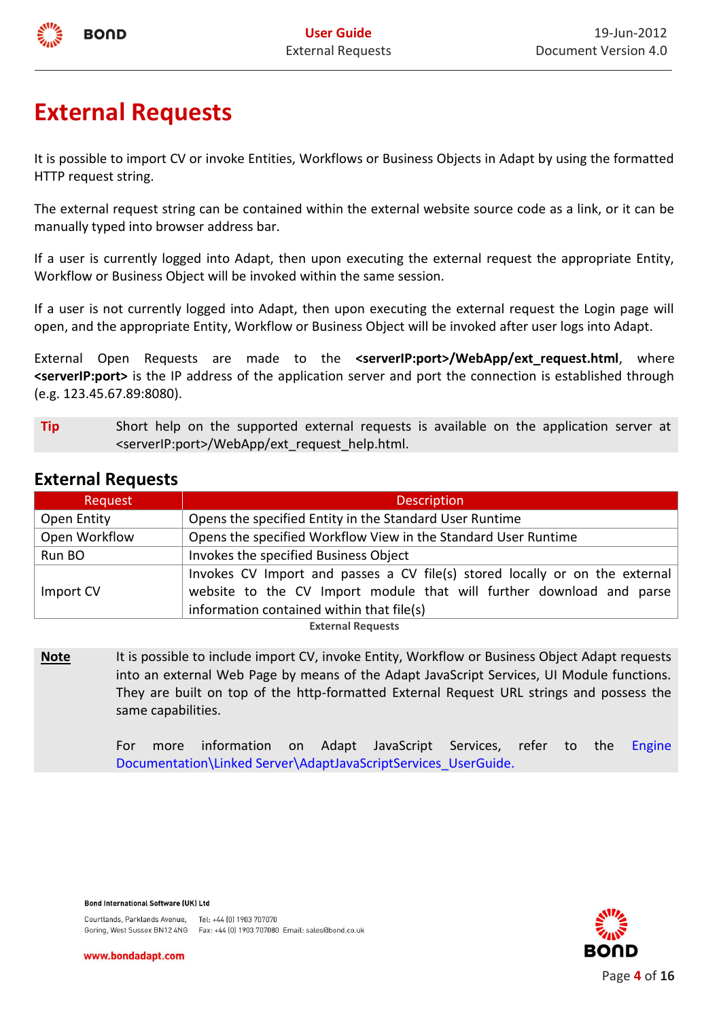

# <span id="page-3-0"></span>**External Requests**

It is possible to import CV or invoke Entities, Workflows or Business Objects in Adapt by using the formatted HTTP request string.

The external request string can be contained within the external website source code as a link, or it can be manually typed into browser address bar.

If a user is currently logged into Adapt, then upon executing the external request the appropriate Entity, Workflow or Business Object will be invoked within the same session.

If a user is not currently logged into Adapt, then upon executing the external request the Login page will open, and the appropriate Entity, Workflow or Business Object will be invoked after user logs into Adapt.

External Open Requests are made to the **<serverIP:port>/WebApp/ext request.html**, where **<serverIP:port>** is the IP address of the application server and port the connection is established through (e.g. 123.45.67.89:8080).

**Tip** Short help on the supported external requests is available on the application server at <serverIP:port>/WebApp/ext\_request\_help.html.

| Request                  | <b>Description</b>                                                          |  |  |  |
|--------------------------|-----------------------------------------------------------------------------|--|--|--|
| Open Entity              | Opens the specified Entity in the Standard User Runtime                     |  |  |  |
| Open Workflow            | Opens the specified Workflow View in the Standard User Runtime              |  |  |  |
| Run BO                   | Invokes the specified Business Object                                       |  |  |  |
|                          | Invokes CV Import and passes a CV file(s) stored locally or on the external |  |  |  |
| Import CV                | website to the CV Import module that will further download and parse        |  |  |  |
|                          | information contained within that file(s)                                   |  |  |  |
| <b>External Requests</b> |                                                                             |  |  |  |

## **External Requests**

Note It is possible to include import CV, invoke Entity, Workflow or Business Object Adapt requests into an external Web Page by means of the Adapt JavaScript Services, UI Module functions. They are built on top of the http-formatted External Request URL strings and possess the same capabilities.

> For more information on Adapt JavaScript Services, refer to the Engine Documentation\Linked Server\AdaptJavaScriptServices\_UserGuide.

**Bond International Software (UK) Ltd** 



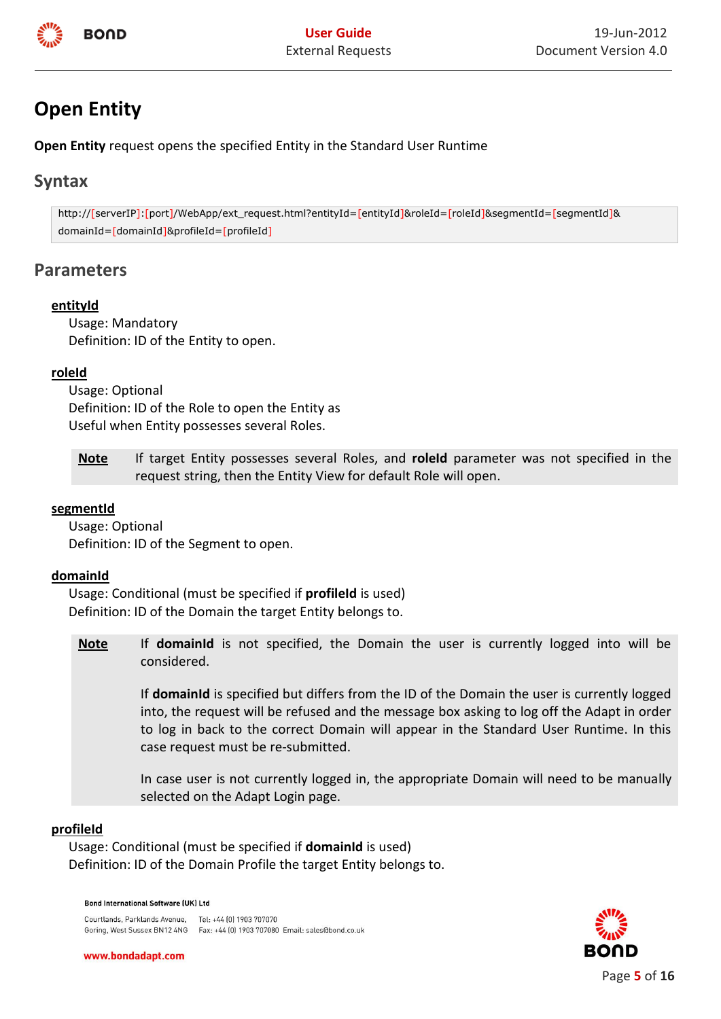

## <span id="page-4-0"></span>**Open Entity**

**Open Entity** request opens the specified Entity in the Standard User Runtime

## **Syntax**

http://[serverIP]:[port]/WebApp/ext\_request.html?entityId=[entityId]&roleId=[roleId]&segmentId=[segmentId]& domainId=[domainId]&profileId=[profileId]

## **Parameters**

## **entityId**

Usage: Mandatory Definition: ID of the Entity to open.

#### **roleId**

Usage: Optional Definition: ID of the Role to open the Entity as Useful when Entity possesses several Roles.

**Note** If target Entity possesses several Roles, and **roleId** parameter was not specified in the request string, then the Entity View for default Role will open.

### **segmentId**

Usage: Optional Definition: ID of the Segment to open.

#### **domainId**

Usage: Conditional (must be specified if **profileId** is used) Definition: ID of the Domain the target Entity belongs to.

**Note** If **domainId** is not specified, the Domain the user is currently logged into will be considered.

> If **domainId** is specified but differs from the ID of the Domain the user is currently logged into, the request will be refused and the message box asking to log off the Adapt in order to log in back to the correct Domain will appear in the Standard User Runtime. In this case request must be re-submitted.

> In case user is not currently logged in, the appropriate Domain will need to be manually selected on the Adapt Login page.

## **profileId**

Usage: Conditional (must be specified if **domainId** is used) Definition: ID of the Domain Profile the target Entity belongs to.

#### **Bond International Software (UK) Ltd**



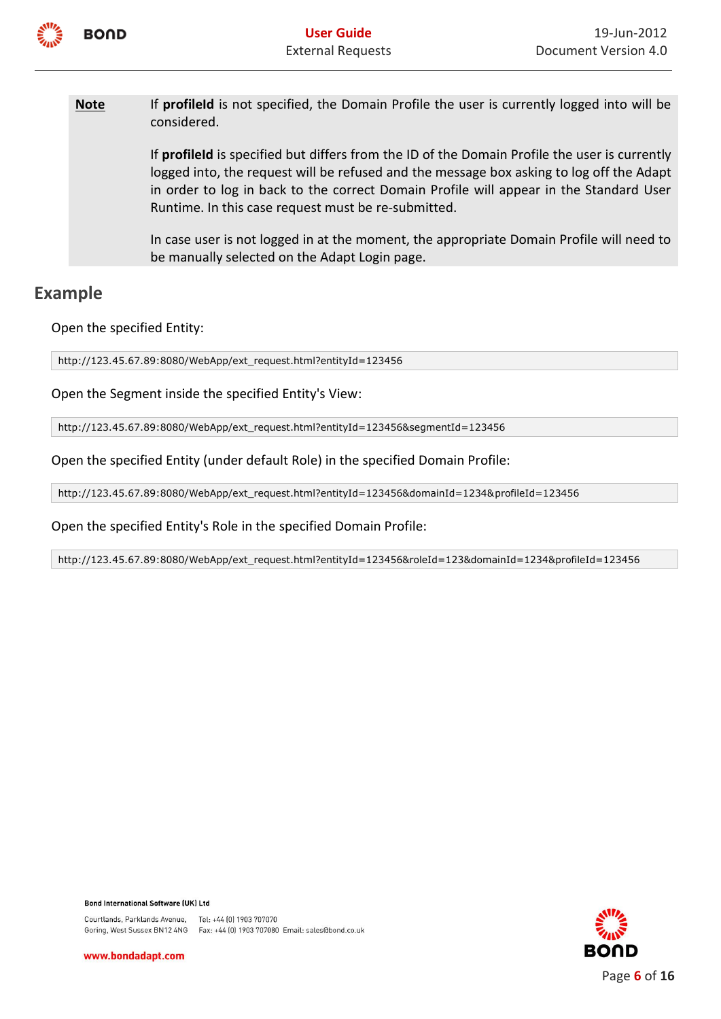

Note If **profileId** is not specified, the Domain Profile the user is currently logged into will be considered.

> If **profileId** is specified but differs from the ID of the Domain Profile the user is currently logged into, the request will be refused and the message box asking to log off the Adapt in order to log in back to the correct Domain Profile will appear in the Standard User Runtime. In this case request must be re-submitted.

> In case user is not logged in at the moment, the appropriate Domain Profile will need to be manually selected on the Adapt Login page.

## **Example**

Open the specified Entity:

http://123.45.67.89:8080/WebApp/ext\_request.html?entityId=123456

Open the Segment inside the specified Entity's View:

http://123.45.67.89:8080/WebApp/ext\_request.html?entityId=123456&segmentId=123456

Open the specified Entity (under default Role) in the specified Domain Profile:

http://123.45.67.89:8080/WebApp/ext\_request.html?entityId=123456&domainId=1234&profileId=123456

Open the specified Entity's Role in the specified Domain Profile:

http://123.45.67.89:8080/WebApp/ext\_request.html?entityId=123456&roleId=123&domainId=1234&profileId=123456

**Bond International Software (UK) Ltd** 

Courtlands, Parklands Avenue, Tel: +44 [0] 1903 707070 Goring, West Sussex BN12 4NG Fax: +44 (0) 1903 707080 Email: sales@bond.co.uk

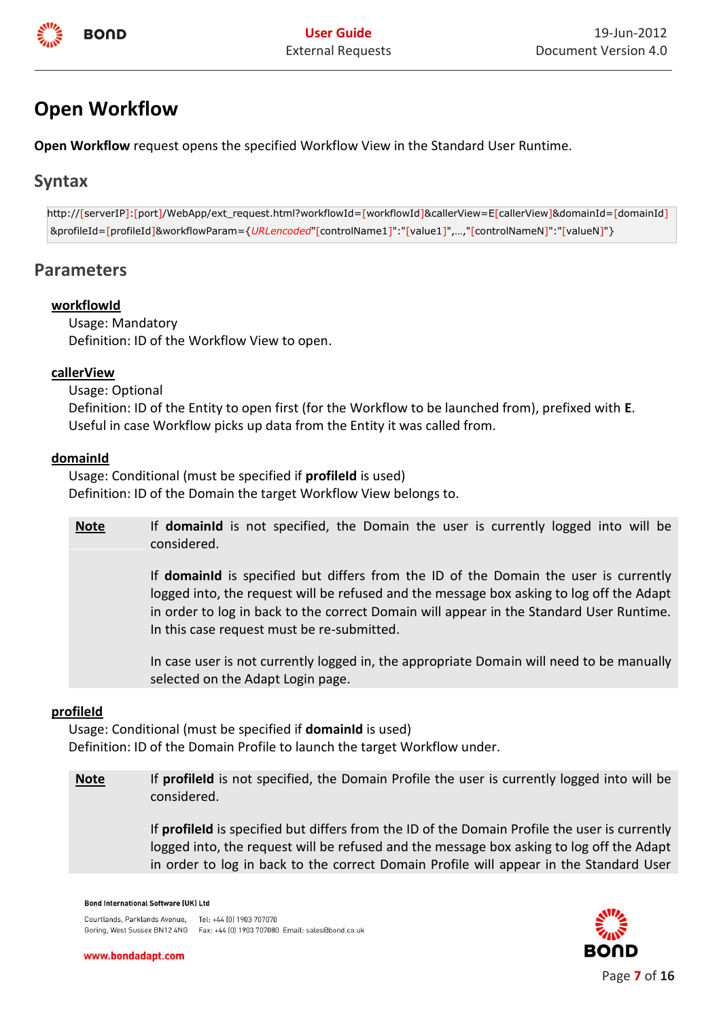

## <span id="page-6-0"></span>**Open Workflow**

**Open Workflow** request opens the specified Workflow View in the Standard User Runtime.

## **Syntax**

http://[serverIP]:[port]/WebApp/ext\_request.html?workflowId=[workflowId]&callerView=E[callerView]&domainId=[domainId] &profileId=[profileId]&workflowParam={*URLencoded*"[controlName1]":"[value1]",…,"[controlNameN]":"[valueN]"}

## **Parameters**

## **workflowId**

Usage: Mandatory Definition: ID of the Workflow View to open.

#### **callerView**

Usage: Optional Definition: ID of the Entity to open first (for the Workflow to be launched from), prefixed with **E**. Useful in case Workflow picks up data from the Entity it was called from.

#### **domainId**

Usage: Conditional (must be specified if **profileId** is used) Definition: ID of the Domain the target Workflow View belongs to.

**Note** If **domainId** is not specified, the Domain the user is currently logged into will be considered.

> If **domainId** is specified but differs from the ID of the Domain the user is currently logged into, the request will be refused and the message box asking to log off the Adapt in order to log in back to the correct Domain will appear in the Standard User Runtime. In this case request must be re-submitted.

> In case user is not currently logged in, the appropriate Domain will need to be manually selected on the Adapt Login page.

## **profileId**

Usage: Conditional (must be specified if **domainId** is used) Definition: ID of the Domain Profile to launch the target Workflow under.

**Note** If **profileId** is not specified, the Domain Profile the user is currently logged into will be considered.

> If **profileId** is specified but differs from the ID of the Domain Profile the user is currently logged into, the request will be refused and the message box asking to log off the Adapt in order to log in back to the correct Domain Profile will appear in the Standard User

#### **Bond International Software (UK) Ltd**

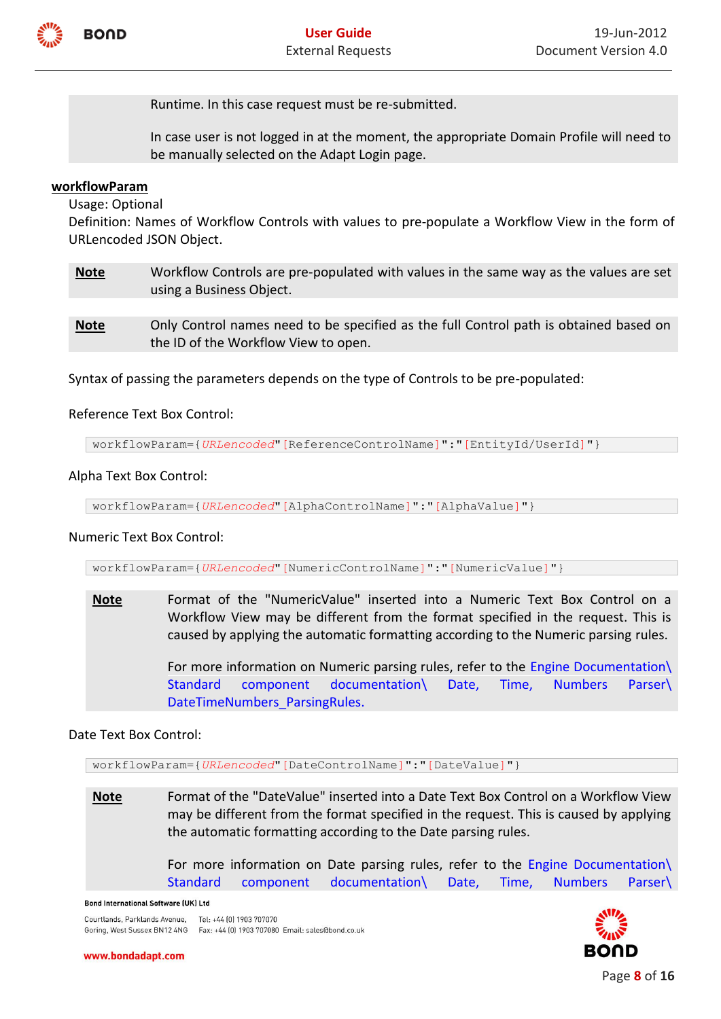

Runtime. In this case request must be re-submitted.

In case user is not logged in at the moment, the appropriate Domain Profile will need to be manually selected on the Adapt Login page.

## **workflowParam**

Usage: Optional

Definition: Names of Workflow Controls with values to pre-populate a Workflow View in the form of URLencoded JSON Object.

- **Note** Workflow Controls are pre-populated with values in the same way as the values are set using a Business Object.
- **Note** Only Control names need to be specified as the full Control path is obtained based on the ID of the Workflow View to open.

Syntax of passing the parameters depends on the type of Controls to be pre-populated:

## Reference Text Box Control:

workflowParam={*URLencoded*"[ReferenceControlName]":"[EntityId/UserId]"}

## Alpha Text Box Control:

workflowParam={*URLencoded*"[AlphaControlName]":"[AlphaValue]"}

## Numeric Text Box Control:

workflowParam={*URLencoded*"[NumericControlName]":"[NumericValue]"}

**Note** Format of the "NumericValue" inserted into a Numeric Text Box Control on a Workflow View may be different from the format specified in the request. This is caused by applying the automatic formatting according to the Numeric parsing rules.

For more information on Numeric parsing rules, refer to the Engine Documentation\ [Standard component documentation\](http://projects/DevProjects/BondEngineQa/Technicalwriting/UserGuides/Forms/AllItems.aspx?RootFolder=%2FDevProjects%2FBondEngineQa%2FTechnicalwriting%2FUserGuides%2FUser%20Guides%2FStandard%20component%20documentation&View=%7bEF7AEDB6%2d3E3E%2d41C9%2d9ABF%2d0E4A162567BC%7d) Date, Time, Numbers Parser\ DateTimeNumbers\_ParsingRules.

## Date Text Box Control:

workflowParam={*URLencoded*"[DateControlName]":"[DateValue]"}

**Note** Format of the "DateValue" inserted into a Date Text Box Control on a Workflow View may be different from the format specified in the request. This is caused by applying the automatic formatting according to the Date parsing rules.

> For more information on Date parsing rules, refer to the Engine Documentation\ [Standard component documentation\](http://projects/DevProjects/BondEngineQa/Technicalwriting/UserGuides/Forms/AllItems.aspx?RootFolder=%2FDevProjects%2FBondEngineQa%2FTechnicalwriting%2FUserGuides%2FUser%20Guides%2FStandard%20component%20documentation&View=%7bEF7AEDB6%2d3E3E%2d41C9%2d9ABF%2d0E4A162567BC%7d) Date, Time, Numbers Parser\

#### **Bond International Software (UK) Ltd**

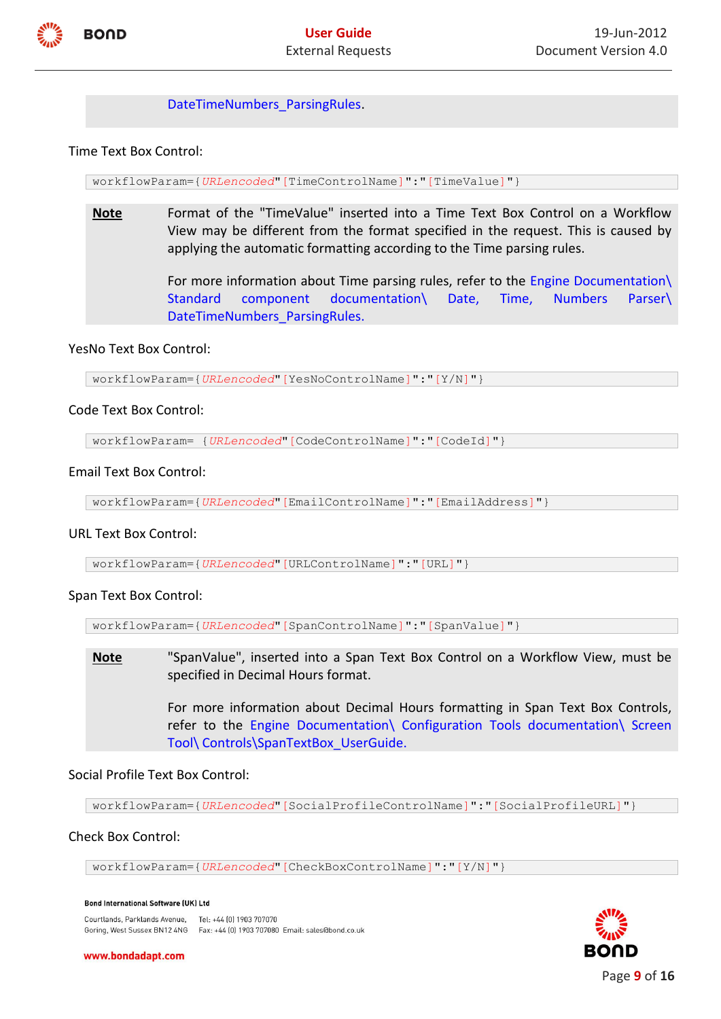

DateTimeNumbers\_ParsingRules.

Time Text Box Control:

workflowParam={*URLencoded*"[TimeControlName]":"[TimeValue]"}

**Note** Format of the "TimeValue" inserted into a Time Text Box Control on a Workflow View may be different from the format specified in the request. This is caused by applying the automatic formatting according to the Time parsing rules.

> For more information about Time parsing rules, refer to the Engine Documentation\ [Standard component documentation\](http://projects/DevProjects/BondEngineQa/Technicalwriting/UserGuides/Forms/AllItems.aspx?RootFolder=%2FDevProjects%2FBondEngineQa%2FTechnicalwriting%2FUserGuides%2FUser%20Guides%2FStandard%20component%20documentation&View=%7bEF7AEDB6%2d3E3E%2d41C9%2d9ABF%2d0E4A162567BC%7d) Date, Time, Numbers Parser\ DateTimeNumbers\_ParsingRules.

#### YesNo Text Box Control:

workflowParam={*URLencoded*"[YesNoControlName]":"[Y/N]"}

#### Code Text Box Control:

workflowParam= {*URLencoded*"[CodeControlName]":"[CodeId]"}

#### Email Text Box Control:

workflowParam={*URLencoded*"[EmailControlName]":"[EmailAddress]"}

#### URL Text Box Control:

workflowParam={*URLencoded*"[URLControlName]":"[URL]"}

#### Span Text Box Control:

workflowParam={*URLencoded*"[SpanControlName]":"[SpanValue]"}

**Note** "SpanValue", inserted into a Span Text Box Control on a Workflow View, must be specified in Decimal Hours format.

> For more information about Decimal Hours formatting in Span Text Box Controls, refer to the Engine Documentation\ [Configuration Tools documentation\](http://projects/DevProjects/BondEngineQa/Technicalwriting/UserGuides/Forms/AllItems.aspx?RootFolder=%2FDevProjects%2FBondEngineQa%2FTechnicalwriting%2FUserGuides%2FUser%20Guides%2FConfiguration%20Tools%20documentation&View=%7bEF7AEDB6%2d3E3E%2d41C9%2d9ABF%2d0E4A162567BC%7d) [Screen](http://projects/DevProjects/BondEngineQa/Technicalwriting/UserGuides/Forms/AllItems.aspx?RootFolder=%2FDevProjects%2FBondEngineQa%2FTechnicalwriting%2FUserGuides%2FUser%20Guides%2FConfiguration%20Tools%20documentation%2FScreen%20Tool&View=%7bEF7AEDB6%2d3E3E%2d41C9%2d9ABF%2d0E4A162567BC%7d)  [Tool\](http://projects/DevProjects/BondEngineQa/Technicalwriting/UserGuides/Forms/AllItems.aspx?RootFolder=%2FDevProjects%2FBondEngineQa%2FTechnicalwriting%2FUserGuides%2FUser%20Guides%2FConfiguration%20Tools%20documentation%2FScreen%20Tool&View=%7bEF7AEDB6%2d3E3E%2d41C9%2d9ABF%2d0E4A162567BC%7d) Controls[\SpanTextBox\\_UserGuide.](http://projects/DevProjects/BondEngineQa/Technicalwriting/UserGuides/User%20Guides/Configuration%20Tools%20documentation/Screen%20Tool/Controls/SpanTextBox_UserGuide.docx)

#### Social Profile Text Box Control:

workflowParam={*URLencoded*"[SocialProfileControlName]":"[SocialProfileURL]"}

#### Check Box Control:

workflowParam={*URLencoded*"[CheckBoxControlName]":"[Y/N]"}

#### **Bond International Software (UK) Ltd**

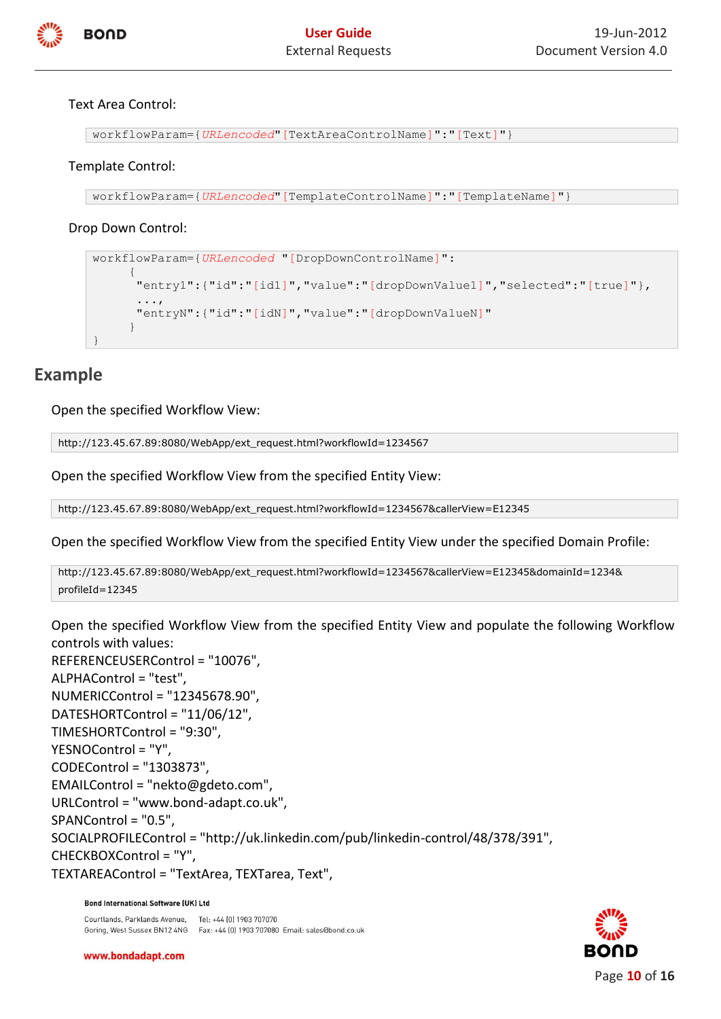

#### Text Area Control:

workflowParam={*URLencoded*"[TextAreaControlName]":"[Text]"}

#### Template Control:

```
workflowParam={URLencoded"[TemplateControlName]":"[TemplateName]"}
```
#### Drop Down Control:

```
workflowParam={URLencoded "[DropDownControlName]":
\left\{\begin{array}{ccc} \end{array}\right\} "entry1":{"id":"[id1]","value":"[dropDownValue1]","selected":"[true]"},
 ...,
        "entryN":{"id":"[idN]","value":"[dropDownValueN]"
 }
}
```
## **Example**

Open the specified Workflow View:

http://123.45.67.89:8080/WebApp/ext\_request.html?workflowId=1234567

Open the specified Workflow View from the specified Entity View:

http://123.45.67.89:8080/WebApp/ext\_request.html?workflowId=1234567&callerView=E12345

Open the specified Workflow View from the specified Entity View under the specified Domain Profile:

```
http://123.45.67.89:8080/WebApp/ext_request.html?workflowId=1234567&callerView=E12345&domainId=1234&
profileId=12345
```
Open the specified Workflow View from the specified Entity View and populate the following Workflow controls with values: REFERENCEUSERControl = "10076", ALPHAControl = "test", NUMERICControl = "12345678.90", DATESHORTControl = "11/06/12", TIMESHORTControl = "9:30", YESNOControl = "Y", CODEControl = "1303873", EMAILControl = "nekto@gdeto.com", URLControl = "www.bond-adapt.co.uk", SPANControl = "0.5", SOCIALPROFILEControl = "http://uk.linkedin.com/pub/linkedin-control/48/378/391", CHECKBOXControl = "Y", TEXTAREAControl = "TextArea, TEXTarea, Text",

#### **Bond International Software (UK) Ltd**

Courtlands, Parklands Avenue. Tel: +44 [0] 1903 707070 Goring, West Sussex BN12 4NG Fax: +44 (0) 1903 707080 Email: sales@bond.co.uk

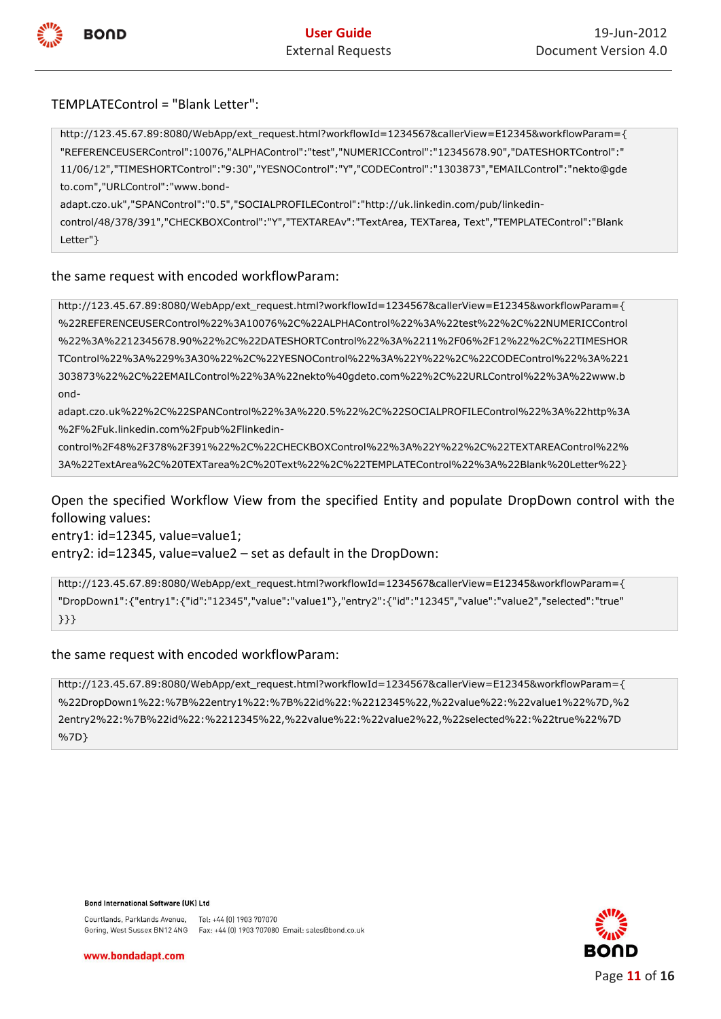

#### TEMPLATEControl = "Blank Letter":

http://123.45.67.89:8080/WebApp/ext\_request.html?workflowId=1234567&callerView=E12345&workflowParam={ "REFERENCEUSERControl":10076,"ALPHAControl":"test","NUMERICControl":"12345678.90","DATESHORTControl":" 11/06/12","TIMESHORTControl":"9:30","YESNOControl":"Y","CODEControl":"1303873","EMAILControl":"nekto@gde to.com","URLControl":"www.bond-

adapt.czo.uk","SPANControl":"0.5","SOCIALPROFILEControl":"http://uk.linkedin.com/pub/linkedin-

control/48/378/391","CHECKBOXControl":"Y","TEXTAREAv":"TextArea, TEXTarea, Text","TEMPLATEControl":"Blank Letter"}

#### the same request with encoded workflowParam:

http://123.45.67.89:8080/WebApp/ext\_request.html?workflowId=1234567&callerView=E12345&workflowParam={ %22REFERENCEUSERControl%22%3A10076%2C%22ALPHAControl%22%3A%22test%22%2C%22NUMERICControl %22%3A%2212345678.90%22%2C%22DATESHORTControl%22%3A%2211%2F06%2F12%22%2C%22TIMESHOR TControl%22%3A%229%3A30%22%2C%22YESNOControl%22%3A%22Y%22%2C%22CODEControl%22%3A%221 303873%22%2C%22EMAILControl%22%3A%22nekto%40gdeto.com%22%2C%22URLControl%22%3A%22www.b ond-

adapt.czo.uk%22%2C%22SPANControl%22%3A%220.5%22%2C%22SOCIALPROFILEControl%22%3A%22http%3A %2F%2Fuk.linkedin.com%2Fpub%2Flinkedin-

control%2F48%2F378%2F391%22%2C%22CHECKBOXControl%22%3A%22Y%22%2C%22TEXTAREAControl%22% 3A%22TextArea%2C%20TEXTarea%2C%20Text%22%2C%22TEMPLATEControl%22%3A%22Blank%20Letter%22}

Open the specified Workflow View from the specified Entity and populate DropDown control with the following values:

entry1: id=12345, value=value1;

entry2: id=12345, value=value2 – set as default in the DropDown:

http://123.45.67.89:8080/WebApp/ext\_request.html?workflowId=1234567&callerView=E12345&workflowParam={ "DropDown1":{"entry1":{"id":"12345","value":"value1"},"entry2":{"id":"12345","value":"value2","selected":"true" }}}

#### the same request with encoded workflowParam:

[http://123.45.67.89:8080/WebApp/ext\\_request.html?workflowId=1234567&callerView=E12345&workflowParam=](http://172.16.15.21:8080/WebApp/ext_request.html?workflowId=1234567&callerView=E12345&workflowParam){ %22DropDown1%22:%7B%22entry1%22:%7B%22id%22:%2212345%22,%22value%22:%22value1%22%7D,%2 2entry2%22:%7B%22id%22:%2212345%22,%22value%22:%22value2%22,%22selected%22:%22true%22%7D %7D}

**Bond International Software (UK) Ltd** 

Courtlands, Parklands Avenue, Tel: +44 [0] 1903 707070 Goring, West Sussex BN12 4NG Fax: +44 (0) 1903 707080 Email: sales@bond.co.uk

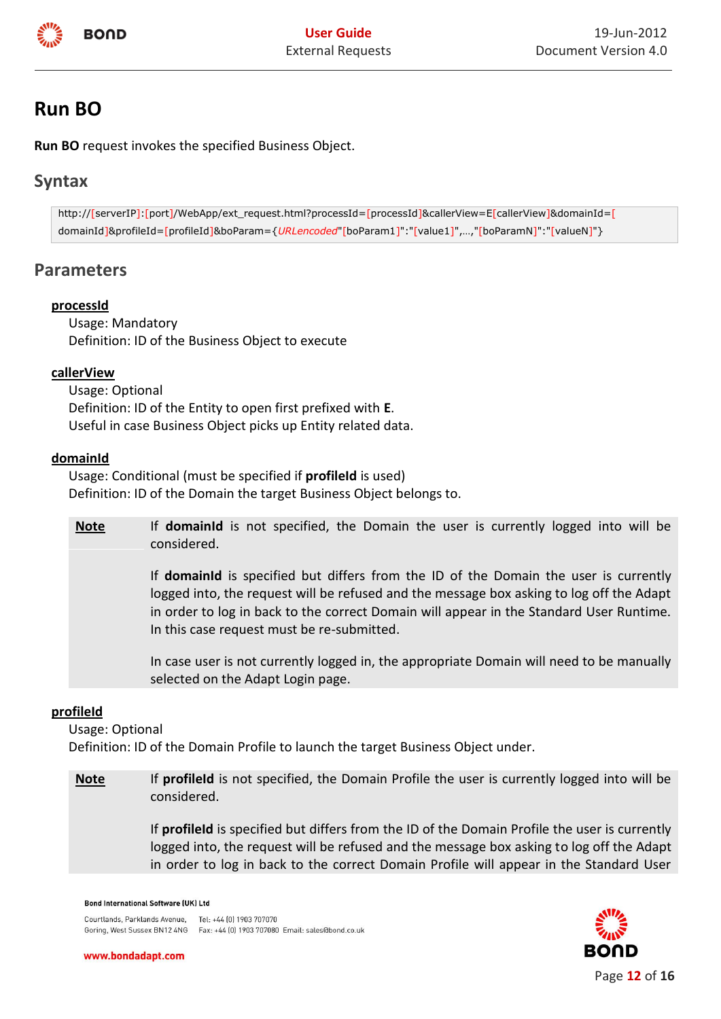

## <span id="page-11-0"></span>**Run BO**

**Run BO** request invokes the specified Business Object.

## **Syntax**

http://[serverIP]:[port]/WebApp/ext\_request.html?processId=[processId]&callerView=E[callerView]&domainId=[ domainId]&profileId=[profileId]&boParam={*URLencoded*"[boParam1]":"[value1]",…,"[boParamN]":"[valueN]"}

## **Parameters**

#### **processId**

Usage: Mandatory Definition: ID of the Business Object to execute

#### **callerView**

Usage: Optional Definition: ID of the Entity to open first prefixed with **E**. Useful in case Business Object picks up Entity related data.

#### **domainId**

Usage: Conditional (must be specified if **profileId** is used) Definition: ID of the Domain the target Business Object belongs to.

**Note** If **domainId** is not specified, the Domain the user is currently logged into will be considered.

> If **domainId** is specified but differs from the ID of the Domain the user is currently logged into, the request will be refused and the message box asking to log off the Adapt in order to log in back to the correct Domain will appear in the Standard User Runtime. In this case request must be re-submitted.

> In case user is not currently logged in, the appropriate Domain will need to be manually selected on the Adapt Login page.

#### **profileId**

Usage: Optional

Definition: ID of the Domain Profile to launch the target Business Object under.

**Note** If **profileId** is not specified, the Domain Profile the user is currently logged into will be considered.

> If **profileId** is specified but differs from the ID of the Domain Profile the user is currently logged into, the request will be refused and the message box asking to log off the Adapt in order to log in back to the correct Domain Profile will appear in the Standard User

#### **Bond International Software (UK) Ltd**

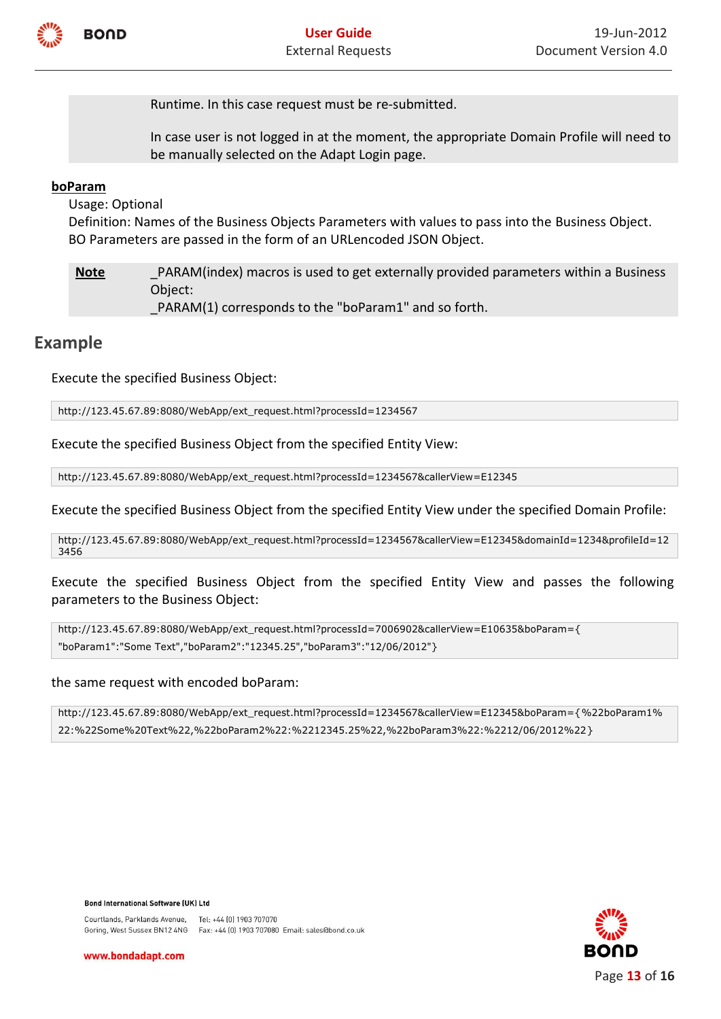

Runtime. In this case request must be re-submitted.

In case user is not logged in at the moment, the appropriate Domain Profile will need to be manually selected on the Adapt Login page.

#### **boParam**

Usage: Optional

Definition: Names of the Business Objects Parameters with values to pass into the Business Object. BO Parameters are passed in the form of an URLencoded JSON Object.

**Note** PARAM(index) macros is used to get externally provided parameters within a Business Object:

PARAM(1) corresponds to the "boParam1" and so forth.

## **Example**

Execute the specified Business Object:

http://123.45.67.89:8080/WebApp/ext\_request.html?processId=1234567

Execute the specified Business Object from the specified Entity View:

http://123.45.67.89:8080/WebApp/ext\_request.html?processId=1234567&callerView=E12345

Execute the specified Business Object from the specified Entity View under the specified Domain Profile:

http://123.45.67.89:8080/WebApp/ext\_request.html?processId=1234567&callerView=E12345&domainId=1234&profileId=12 3456

Execute the specified Business Object from the specified Entity View and passes the following parameters to the Business Object:

http://123.45.67.89:8080/WebApp/ext\_request.html?processId=7006902&callerView=E10635&boParam={ "boParam1":"Some Text","boParam2":"12345.25","boParam3":"12/06/2012"}

#### the same request with encoded boParam:

http://123.45.67.89:8080/WebApp/ext\_request.html?processId=1234567&callerView=E12345&boParam={%22boParam1% 22:%22Some%20Text%22,%22boParam2%22:%2212345.25%22,%22boParam3%22:%2212/06/2012%22}

**Bond International Software (UK) Ltd** 

Courtlands, Parklands Avenue, Tel: +44 [0] 1903 707070 Goring, West Sussex BN12 4NG Fax: +44 (0) 1903 707080 Email: sales@bond.co.uk

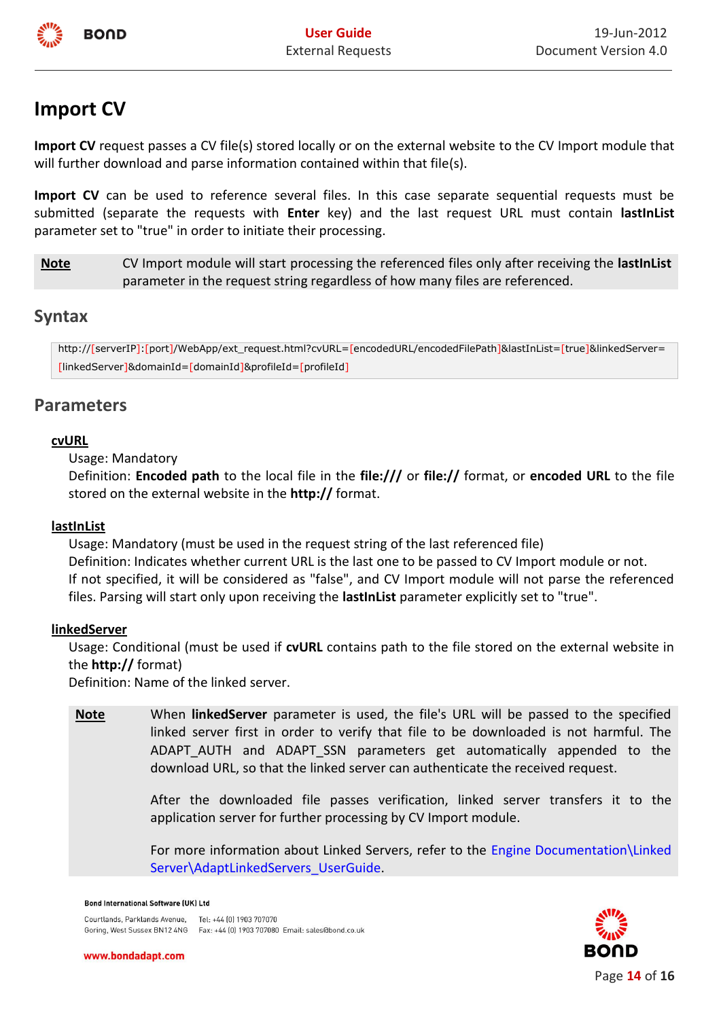

## <span id="page-13-0"></span>**Import CV**

**Import CV** request passes a CV file(s) stored locally or on the external website to the CV Import module that will further download and parse information contained within that file(s).

**Import CV** can be used to reference several files. In this case separate sequential requests must be submitted (separate the requests with **Enter** key) and the last request URL must contain **lastInList** parameter set to "true" in order to initiate their processing.

**Note** CV Import module will start processing the referenced files only after receiving the **lastInList** parameter in the request string regardless of how many files are referenced.

## **Syntax**

http://[serverIP]:[port]/WebApp/ext\_request.html?cvURL=[encodedURL/encodedFilePath]&lastInList=[true]&linkedServer= [linkedServer]&domainId=[domainId]&profileId=[profileId]

## **Parameters**

#### **cvURL**

Usage: Mandatory

Definition: **Encoded path** to the local file in the **file:///** or **file://** format, or **encoded URL** to the file stored on the external website in the **http://** format.

#### **lastInList**

Usage: Mandatory (must be used in the request string of the last referenced file) Definition: Indicates whether current URL is the last one to be passed to CV Import module or not. If not specified, it will be considered as "false", and CV Import module will not parse the referenced files. Parsing will start only upon receiving the **lastInList** parameter explicitly set to "true".

## **linkedServer**

Usage: Conditional (must be used if **cvURL** contains path to the file stored on the external website in the **http://** format)

Definition: Name of the linked server.

**Note** When **linkedServer** parameter is used, the file's URL will be passed to the specified linked server first in order to verify that file to be downloaded is not harmful. The ADAPT\_AUTH and ADAPT\_SSN parameters get automatically appended to the download URL, so that the linked server can authenticate the received request.

> After the downloaded file passes verification, linked server transfers it to the application server for further processing by CV Import module.

> For more information about Linked Servers, refer to the Engine Documentation\Linked Server\AdaptLinkedServers\_UserGuide.

#### **Bond International Software (UK) Ltd**

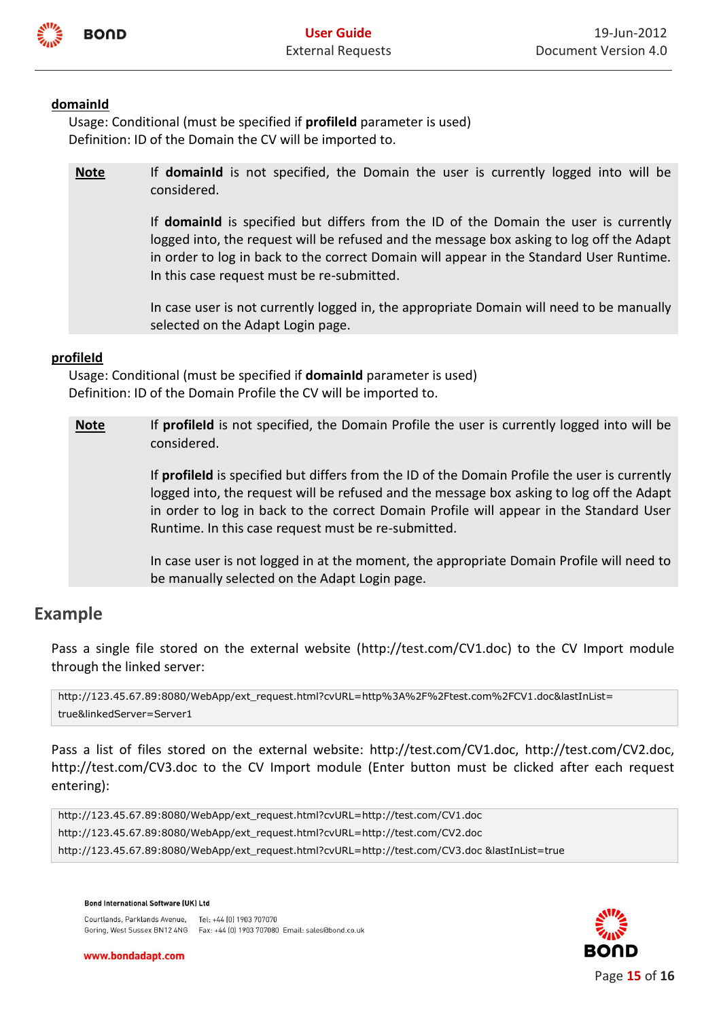

#### **domainId**

Usage: Conditional (must be specified if **profileId** parameter is used) Definition: ID of the Domain the CV will be imported to.

**Note** If **domainId** is not specified, the Domain the user is currently logged into will be considered.

> If **domainId** is specified but differs from the ID of the Domain the user is currently logged into, the request will be refused and the message box asking to log off the Adapt in order to log in back to the correct Domain will appear in the Standard User Runtime. In this case request must be re-submitted.

> In case user is not currently logged in, the appropriate Domain will need to be manually selected on the Adapt Login page.

#### **profileId**

Usage: Conditional (must be specified if **domainId** parameter is used) Definition: ID of the Domain Profile the CV will be imported to.

**Note** If **profileld** is not specified, the Domain Profile the user is currently logged into will be considered.

> If **profileId** is specified but differs from the ID of the Domain Profile the user is currently logged into, the request will be refused and the message box asking to log off the Adapt in order to log in back to the correct Domain Profile will appear in the Standard User Runtime. In this case request must be re-submitted.

> In case user is not logged in at the moment, the appropriate Domain Profile will need to be manually selected on the Adapt Login page.

## **Example**

Pass a single file stored on the external website (http://test.com/CV1.doc) to the CV Import module through the linked server:

http://123.45.67.89:8080/WebApp/ext\_request.html?cvURL=http%3A%2F%2Ftest.com%2FCV1.doc&lastInList= true&linkedServer=Server1

Pass a list of files stored on the external website: http://test.com/CV1.doc, http://test.com/CV2.doc, <http://test.com/CV3.doc> to the CV Import module (Enter button must be clicked after each request entering):

http://123.45.67.89:8080/WebApp/ext\_request.html?cvURL=http://test.com/CV1.doc http://123.45.67.89:8080/WebApp/ext\_request.html?cvURL=http://test.com/CV2.doc http://123.45.67.89:8080/WebApp/ext\_request.html?cvURL=http://test.com/CV3.doc &lastInList=true

Courtlands, Parklands Avenue, Tel: +44 [0] 1903 707070 Goring, West Sussex BN12 4NG Fax: +44 (0) 1903 707080 Email: sales@bond.co.uk